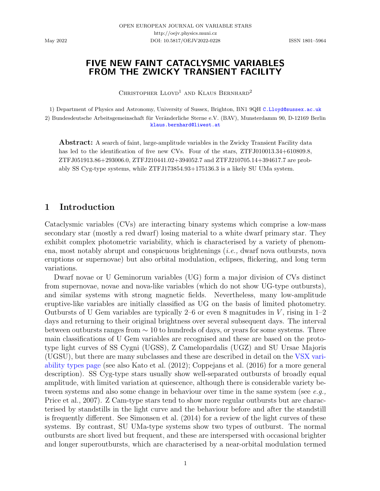## FIVE NEW FAINT CATACLYSMIC VARIABLES FROM THE ZWICKY TRANSIENT FACILITY

CHRISTOPHER  $L$ LOYD<sup>1</sup> AND KLAUS BERNHARD<sup>2</sup>

1) Department of Physics and Astronomy, University of Sussex, Brighton, BN1 9QH [C.Lloyd@sussex.ac.uk](mailto:C.Lloyd@sussex.ac.uk) 2) Bundesdeutsche Arbeitsgemeinschaft für Veränderliche Sterne e.V. (BAV), Munsterdamm 90, D-12169 Berlin [klaus.bernhard@liwest.at](mailto:klaus.bernhard@liwest.at)

Abstract: A search of faint, large-amplitude variables in the Zwicky Transient Facility data has led to the identification of five new CVs. Four of the stars, ZTFJ010013.34+610809.8, ZTFJ051913.86+293006.0, ZTFJ210441.02+394052.7 and ZTFJ210705.14+394617.7 are probably SS Cyg-type systems, while ZTFJ173854.93+175136.3 is a likely SU UMa system.

## 1 Introduction

Cataclysmic variables (CVs) are interacting binary systems which comprise a low-mass secondary star (mostly a red dwarf) losing material to a white dwarf primary star. They exhibit complex photometric variability, which is characterised by a variety of phenomena, most notably abrupt and conspicuous brightenings (i.e., dwarf nova outbursts, nova eruptions or supernovae) but also orbital modulation, eclipses, flickering, and long term variations.

Dwarf novae or U Geminorum variables (UG) form a major division of CVs distinct from supernovae, novae and nova-like variables (which do not show UG-type outbursts), and similar systems with strong magnetic fields. Nevertheless, many low-amplitude eruptive-like variables are initially classified as UG on the basis of limited photometry. Outbursts of U Gem variables are typically 2–6 or even 8 magnitudes in  $V$ , rising in 1–2 days and returning to their original brightness over several subsequent days. The interval between outbursts ranges from  $\sim$  10 to hundreds of days, or years for some systems. Three main classifications of U Gem variables are recognised and these are based on the prototype light curves of SS Cygni (UGSS), Z Camelopardalis (UGZ) and SU Ursae Majoris (UGSU), but there are many subclasses and these are described in detail on the [VSX vari](www.aavso.org/vsx/index.php?view=about.vartypes)[ability types page](www.aavso.org/vsx/index.php?view=about.vartypes) (see also [Kato et al.](#page-16-0) [\(2012\)](#page-16-0); [Coppejans et al.](#page-16-1) [\(2016\)](#page-16-1) for a more general description). SS Cyg-type stars usually show well-separated outbursts of broadly equal amplitude, with limited variation at quiescence, although there is considerable variety between systems and also some change in behaviour over time in the same system (see  $e.q.,$ [Price et al.,](#page-16-2) [2007\)](#page-16-2). Z Cam-type stars tend to show more regular outbursts but are characterised by standstills in the light curve and the behaviour before and after the standstill is frequently different. See [Simonsen et al.](#page-16-3) [\(2014\)](#page-16-3) for a review of the light curves of these systems. By contrast, SU UMa-type systems show two types of outburst. The normal outbursts are short lived but frequent, and these are interspersed with occasional brighter and longer superoutbursts, which are characterised by a near-orbital modulation termed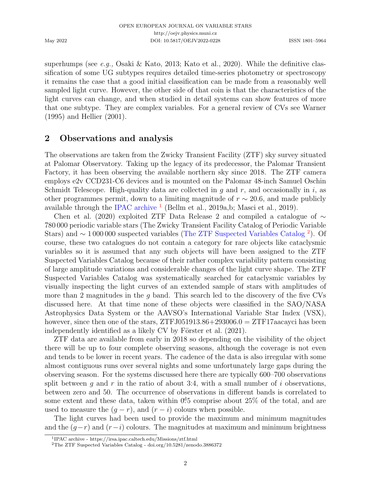superhumps (see e.g., [Osaki & Kato,](#page-16-4) [2013;](#page-16-4) [Kato et al.,](#page-16-5) [2020\)](#page-16-5). While the definitive classification of some UG subtypes requires detailed time-series photometry or spectroscopy it remains the case that a good initial classification can be made from a reasonably well sampled light curve. However, the other side of that coin is that the characteristics of the light curves can change, and when studied in detail systems can show features of more that one subtype. They are complex variables. For a general review of CVs see [Warner](#page-16-6) [\(1995\)](#page-16-6) and [Hellier](#page-16-7) [\(2001\)](#page-16-7).

### 2 Observations and analysis

The observations are taken from the Zwicky Transient Facility (ZTF) sky survey situated at Palomar Observatory. Taking up the legacy of its predecessor, the Palomar Transient Factory, it has been observing the available northern sky since 2018. The ZTF camera employs e2v CCD231-C6 devices and is mounted on the Palomar 48-inch Samuel Oschin Schmidt Telescope. High-quality data are collected in g and  $r$ , and occasionally in i, as other programmes permit, down to a limiting magnitude of  $r \sim 20.6$ , and made publicly available through the [IPAC archive](https://irsa.ipac.caltech.edu/Missions/ztf.html)  $^1$  $^1$  [\(Bellm et al.,](#page-15-0) [2019a,](#page-15-0)[b;](#page-15-1) [Masci et al.,](#page-16-8) [2019\)](#page-16-8).

[Chen et al.](#page-16-9) [\(2020\)](#page-16-9) exploited ZTF Data Release 2 and compiled a catalogue of  $\sim$ 780 000 periodic variable stars (The Zwicky Transient Facility Catalog of Periodic Variable Stars) and ∼ 1 000 000 suspected variables [\(The ZTF Suspected Variables Catalog](http://doi.org/10.5281/zenodo.3886372) [2](#page-1-1) ). Of course, these two catalogues do not contain a category for rare objects like cataclysmic variables so it is assumed that any such objects will have been assigned to the ZTF Suspected Variables Catalog because of their rather complex variability pattern consisting of large amplitude variations and considerable changes of the light curve shape. The ZTF Suspected Variables Catalog was systematically searched for cataclysmic variables by visually inspecting the light curves of an extended sample of stars with amplitudes of more than 2 magnitudes in the q band. This search led to the discovery of the five CVs discussed here. At that time none of these objects were classified in the SAO/NASA Astrophysics Data System or the AAVSO's International Variable Star Index (VSX), however, since then one of the stars,  $ZTFJ051913.86+293006.0 = ZTF17aacayci$  has been independently identified as a likely  $CV$  by Förster et al.  $(2021)$ .

ZTF data are available from early in 2018 so depending on the visibility of the object there will be up to four complete observing seasons, although the coverage is not even and tends to be lower in recent years. The cadence of the data is also irregular with some almost contiguous runs over several nights and some unfortunately large gaps during the observing season. For the systems discussed here there are typically 600–700 observations split between q and r in the ratio of about 3:4, with a small number of i observations, between zero and 50. The occurrence of observations in different bands is correlated to some extent and these data, taken within  $0.015$  comprise about 25% of the total, and are used to measure the  $(g - r)$ , and  $(r - i)$  colours when possible.

The light curves had been used to provide the maximum and minimum magnitudes and the  $(q-r)$  and  $(r-i)$  colours. The magnitudes at maximum and minimum brightness

<span id="page-1-0"></span><sup>1</sup> IPAC archive - https://irsa.ipac.caltech.edu/Missions/ztf.html

<span id="page-1-1"></span><sup>2</sup>The ZTF Suspected Variables Catalog - doi.org/10.5281/zenodo.3886372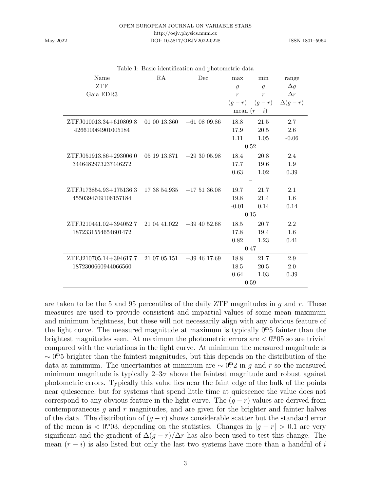http://oejv.physics.muni.cz

<span id="page-2-0"></span>DOI: 10.5817/OEJV2022-0228 ISSN 1801–5964

|           | Table 1: Basic identification and photometric data |      |     |
|-----------|----------------------------------------------------|------|-----|
| Name      | RA                                                 | Dec. | max |
| ZTF       |                                                    |      | д   |
| Gaia EDR3 |                                                    |      | r   |

| Name                   | RA           | Dec              | max            | min              | range         |  |
|------------------------|--------------|------------------|----------------|------------------|---------------|--|
| ZTF                    |              |                  | $\mathfrak{g}$ | $\overline{g}$   | $\Delta g$    |  |
| Gaia EDR3              |              |                  | $\overline{r}$ | $\boldsymbol{r}$ | $\Delta r$    |  |
|                        |              |                  | $(g-r)$        | $(g-r)$          | $\Delta(g-r)$ |  |
|                        |              |                  | mean $(r - i)$ |                  |               |  |
| ZTFJ010013.34+610809.8 | 01 00 13.360 | $+61$ 08 09.86   | 18.8           | 21.5             | 2.7           |  |
| 426610064901005184     |              |                  | 17.9           | 20.5             | 2.6           |  |
|                        |              |                  | 1.11           | 1.05             | $-0.06$       |  |
|                        |              |                  | 0.52           |                  |               |  |
| ZTFJ051913.86+293006.0 | 05 19 13.871 | $+293005.98$     | 18.4           | 20.8             | 2.4           |  |
| 3446482973237446272    |              |                  | 17.7           | 19.6             | 1.9           |  |
|                        |              |                  | 0.63           | 1.02             | 0.39          |  |
|                        |              |                  |                |                  |               |  |
| ZTFJ173854.93+175136.3 | 17 38 54.935 | $+175136.08$     | 19.7           | 21.7             | 2.1           |  |
| 4550394709106157184    |              |                  | 19.8           | 21.4             | 1.6           |  |
|                        |              |                  | $-0.01$        | 0.14             | 0.14          |  |
|                        |              |                  | 0.15           |                  |               |  |
| ZTFJ210441.02+394052.7 | 21 04 41.022 | $+39\;40\;52.68$ | 18.5           | 20.7             | 2.2           |  |
| 1872331554654601472    |              |                  | 17.8           | 19.4             | 1.6           |  |
|                        |              |                  | 0.82           | 1.23             | 0.41          |  |
|                        |              |                  | 0.47           |                  |               |  |

ZTFJ210705.14+394617.7 21 07 05.151 +39 46 17.69 18.8 21.7 2.9 1872300660944066560 18.5 20.5 2.0

0.64 1.03 0.39

0.59

are taken to be the 5 and 95 percentiles of the daily ZTF magnitudes in  $q$  and  $r$ . These measures are used to provide consistent and impartial values of some mean maximum and minimum brightness, but these will not necessarily align with any obvious feature of the light curve. The measured magnitude at maximum is typically  $0<sup>m</sup>5$  fainter than the brightest magnitudes seen. At maximum the photometric errors are  $\langle 0^{\text{m}} 05 \rangle$  so are trivial compared with the variations in the light curve. At minimum the measured magnitude is ∼ 0<sup>m</sup>5 brighter than the faintest magnitudes, but this depends on the distribution of the data at minimum. The uncertainties at minimum are  $\sim 0^{\text{m}}2$  in g and r so the measured minimum magnitude is typically  $2-3\sigma$  above the faintest magnitude and robust against photometric errors. Typically this value lies near the faint edge of the bulk of the points near quiescence, but for systems that spend little time at quiescence the value does not correspond to any obvious feature in the light curve. The  $(g - r)$  values are derived from contemporaneous  $g$  and  $r$  magnitudes, and are given for the brighter and fainter halves of the data. The distribution of  $(g - r)$  shows considerable scatter but the standard error of the mean is  $\langle 0^{\text{m}}03,$  depending on the statistics. Changes in  $|g-r| > 0.1$  are very significant and the gradient of  $\Delta(g-r)/\Delta r$  has also been used to test this change. The mean  $(r - i)$  is also listed but only the last two systems have more than a handful of i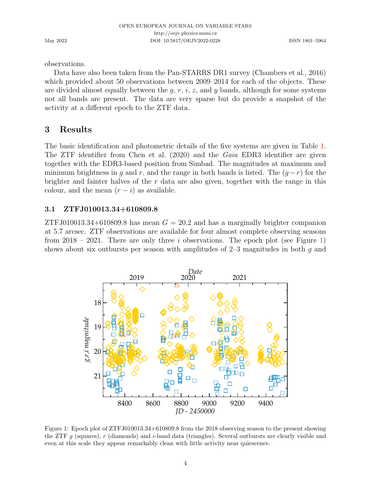observations.

Data have also been taken from the Pan-STARRS DR1 survey [\(Chambers et al.,](#page-16-11) [2016\)](#page-16-11) which provided about 50 observations between 2009–2014 for each of the objects. These are divided almost equally between the  $g, r, i, z$ , and y bands, although for some systems not all bands are present. The data are very sparse but do provide a snapshot of the activity at a different epoch to the ZTF data.

# 3 Results

The basic identification and photometric details of the five systems are given in Table [1.](#page-2-0) The ZTF identifier from [Chen et al.](#page-16-9) [\(2020\)](#page-16-9) and the Gaia EDR3 identifier are given together with the EDR3-based position from Simbad. The magnitudes at maximum and minimum brightness in g and r, and the range in both bands is listed. The  $(g - r)$  for the brighter and fainter halves of the  $r$  data are also given, together with the range in this colour, and the mean  $(r - i)$  as available.

### 3.1 ZTFJ010013.34+610809.8

ZTFJ010013.34+610809.8 has mean  $G = 20.2$  and has a marginally brighter companion at 5.7 arcsec. ZTF observations are available for four almost complete observing seasons from  $2018 - 2021$ . There are only three i observations. The epoch plot (see Figure [1\)](#page-3-0) shows about six outbursts per season with amplitudes of  $2-3$  magnitudes in both q and



<span id="page-3-0"></span>Figure 1: Epoch plot of ZTFJ010013.34+610809.8 from the 2018 observing season to the present showing the ZTF  $g$  (squares),  $r$  (diamonds) and *i*-band data (triangles). Several outbursts are clearly visible and even at this scale they appear remarkably clean with little activity near quiescence.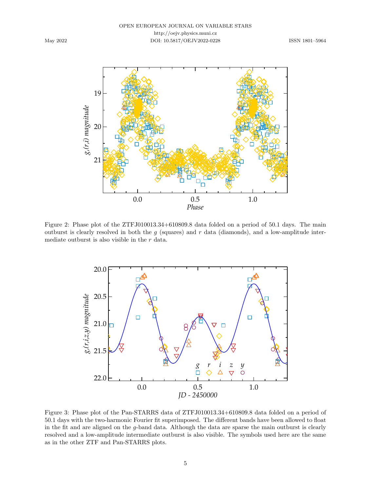

<span id="page-4-0"></span>Figure 2: Phase plot of the ZTFJ010013.34+610809.8 data folded on a period of 50.1 days. The main outburst is clearly resolved in both the  $g$  (squares) and  $r$  data (diamonds), and a low-amplitude intermediate outburst is also visible in the  $r$  data.



<span id="page-4-1"></span>Figure 3: Phase plot of the Pan-STARRS data of ZTFJ010013.34+610809.8 data folded on a period of 50.1 days with the two-harmonic Fourier fit superimposed. The different bands have been allowed to float in the fit and are aligned on the g-band data. Although the data are sparse the main outburst is clearly resolved and a low-amplitude intermediate outburst is also visible. The symbols used here are the same as in the other ZTF and Pan-STARRS plots.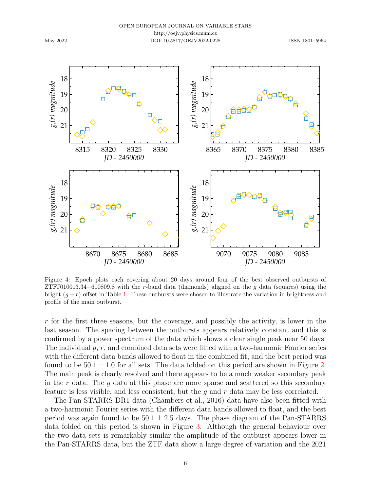

<span id="page-5-0"></span>Figure 4: Epoch plots each covering about 20 days around four of the best observed outbursts of ZTFJ010013.34+610809.8 with the r-band data (diamonds) aligned on the  $q$  data (squares) using the bright  $(q - r)$  offset in Table [1.](#page-2-0) These outbursts were chosen to illustrate the variation in brightness and profile of the main outburst.

r for the first three seasons, but the coverage, and possibly the activity, is lower in the last season. The spacing between the outbursts appears relatively constant and this is confirmed by a power spectrum of the data which shows a clear single peak near 50 days. The individual  $g, r$ , and combined data sets were fitted with a two-harmonic Fourier series with the different data bands allowed to float in the combined fit, and the best period was found to be  $50.1 \pm 1.0$  for all sets. The data folded on this period are shown in Figure [2.](#page-4-0) The main peak is clearly resolved and there appears to be a much weaker secondary peak in the r data. The q data at this phase are more sparse and scattered so this secondary feature is less visible, and less consistent, but the  $g$  and  $r$  data may be less correlated.

The Pan-STARRS DR1 data [\(Chambers et al.,](#page-16-11) [2016\)](#page-16-11) data have also been fitted with a two-harmonic Fourier series with the different data bands allowed to float, and the best period was again found to be  $50.1 \pm 2.5$  days. The phase diagram of the Pan-STARRS data folded on this period is shown in Figure [3.](#page-4-1) Although the general behaviour over the two data sets is remarkably similar the amplitude of the outburst appears lower in the Pan-STARRS data, but the ZTF data show a large degree of variation and the 2021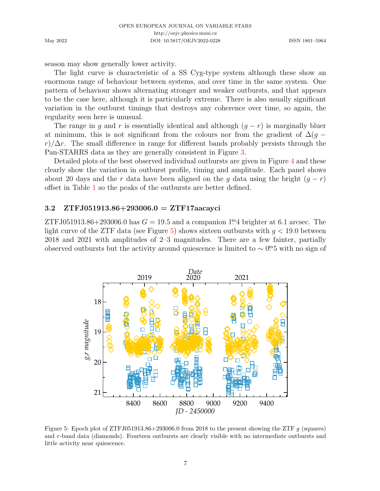season may show generally lower activity.

The light curve is characteristic of a SS Cyg-type system although these show an enormous range of behaviour between systems, and over time in the same system. One pattern of behaviour shows alternating stronger and weaker outbursts, and that appears to be the case here, although it is particularly extreme. There is also usually significant variation in the outburst timings that destroys any coherence over time, so again, the regularity seen here is unusual.

The range in g and r is essentially identical and although  $(g - r)$  is marginally bluer at minimum, this is not significant from the colours nor from the gradient of  $\Delta(g$  $r/\Delta r$ . The small difference in range for different bands probably persists through the Pan-STARRS data as they are generally consistent in Figure [3.](#page-4-1)

Detailed plots of the best observed individual outbursts are given in Figure [4](#page-5-0) and these clearly show the variation in outburst profile, timing and amplitude. Each panel shows about 20 days and the r data have been aligned on the g data using the bright  $(g - r)$ offset in Table [1](#page-2-0) so the peaks of the outbursts are better defined.

### 3.2 ZTFJ051913.86+293006.0 = ZTF17aacayci

ZTFJ051913.86+293006.0 has  $G = 19.5$  and a companion 1<sup>m</sup>4 brighter at 6.1 arcsec. The light curve of the ZTF data (see Figure [5\)](#page-6-0) shows sixteen outbursts with  $g < 19.0$  between 2018 and 2021 with amplitudes of 2–3 magnitudes. There are a few fainter, partially observed outbursts but the activity around quiescence is limited to  $\sim 0^{m}5$  with no sign of



<span id="page-6-0"></span>Figure 5: Epoch plot of ZTFJ051913.86+293006.0 from 2018 to the present showing the ZTF  $q$  (squares) and r-band data (diamonds). Fourteen outbursts are clearly visible with no intermediate outbursts and little activity near quiescence.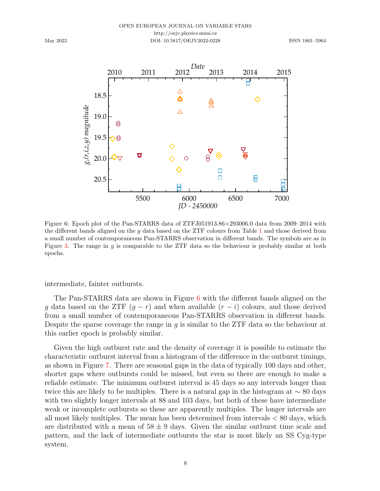

<span id="page-7-0"></span>Figure 6: Epoch plot of the Pan-STARRS data of ZTFJ051913.86+293006.0 data from 2009–2014 with the different bands aligned on the g data based on the ZTF colours from Table [1](#page-2-0) and those derived from a small number of contemporaneous Pan-STARRS observation in different bands. The symbols are as in Figure [3.](#page-4-1) The range in g is comparable to the ZTF data so the behaviour is probably similar at both epochs.

intermediate, fainter outbursts.

The Pan-STARRS data are shown in Figure [6](#page-7-0) with the different bands aligned on the g data based on the ZTF  $(g - r)$  and when available  $(r - i)$  colours, and those derived from a small number of contemporaneous Pan-STARRS observation in different bands. Despite the sparse coverage the range in g is similar to the ZTF data so the behaviour at this earlier epoch is probably similar.

Given the high outburst rate and the density of coverage it is possible to estimate the characteristic outburst interval from a histogram of the difference in the outburst timings, as shown in Figure [7.](#page-8-0) There are seasonal gaps in the data of typically 100 days and other, shorter gaps where outbursts could be missed, but even so there are enough to make a reliable estimate. The minimum outburst interval is 45 days so any intervals longer than twice this are likely to be multiples. There is a natural gap in the histogram at ∼ 80 days with two slightly longer intervals at 88 and 103 days, but both of these have intermediate weak or incomplete outbursts so these are apparently multiples. The longer intervals are all most likely multiples. The mean has been determined from intervals < 80 days, which are distributed with a mean of  $58 \pm 9$  days. Given the similar outburst time scale and pattern, and the lack of intermediate outbursts the star is most likely an SS Cyg-type system.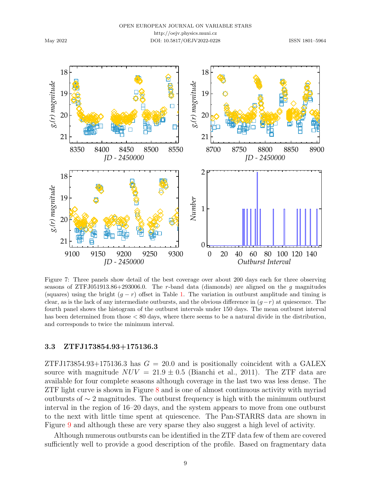

<span id="page-8-0"></span>Figure 7: Three panels show detail of the best coverage over about 200 days each for three observing seasons of ZTFJ051913.86+293006.0. The r-band data (diamonds) are aligned on the  $q$  magnitudes (squares) using the bright  $(q - r)$  offset in Table [1.](#page-2-0) The variation in outburst amplitude and timing is clear, as is the lack of any intermediate outbursts, and the obvious difference in  $(g-r)$  at quiescence. The fourth panel shows the histogram of the outburst intervals under 150 days. The mean outburst interval has been determined from those < 80 days, where there seems to be a natural divide in the distribution, and corresponds to twice the minimum interval.

#### 3.3 ZTFJ173854.93+175136.3

ZTFJ173854.93+175136.3 has  $G = 20.0$  and is positionally coincident with a GALEX source with magnitude  $NUV = 21.9 \pm 0.5$  [\(Bianchi et al.,](#page-16-12) [2011\)](#page-16-12). The ZTF data are available for four complete seasons although coverage in the last two was less dense. The ZTF light curve is shown in Figure [8](#page-9-0) and is one of almost continuous activity with myriad outbursts of ∼ 2 magnitudes. The outburst frequency is high with the minimum outburst interval in the region of 16–20 days, and the system appears to move from one outburst to the next with little time spent at quiescence. The Pan-STARRS data are shown in Figure [9](#page-9-1) and although these are very sparse they also suggest a high level of activity.

Although numerous outbursts can be identified in the ZTF data few of them are covered sufficiently well to provide a good description of the profile. Based on fragmentary data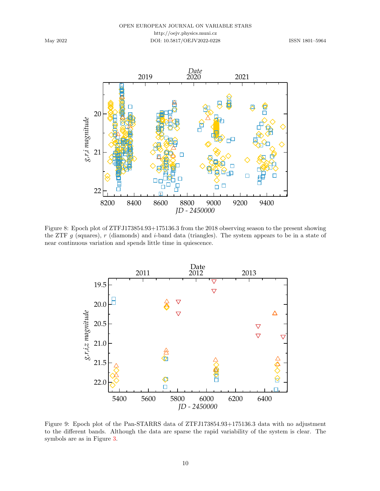

<span id="page-9-0"></span>Figure 8: Epoch plot of ZTFJ173854.93+175136.3 from the 2018 observing season to the present showing the ZTF g (squares), r (diamonds) and i-band data (triangles). The system appears to be in a state of near continuous variation and spends little time in quiescence.



<span id="page-9-1"></span>Figure 9: Epoch plot of the Pan-STARRS data of ZTFJ173854.93+175136.3 data with no adjustment to the different bands. Although the data are sparse the rapid variability of the system is clear. The symbols are as in Figure [3.](#page-4-1)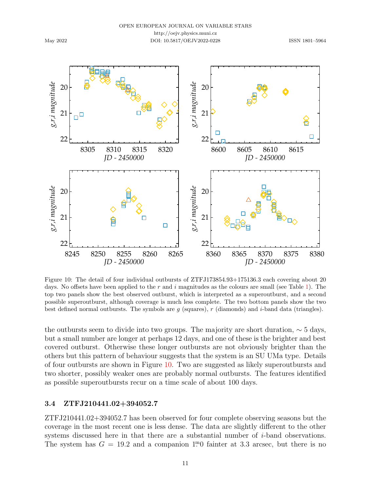

<span id="page-10-0"></span>Figure 10: The detail of four individual outbursts of ZTFJ173854.93+175136.3 each covering about 20 days. No offsets have been applied to the  $r$  and  $i$  magnitudes as the colours are small (see Table [1\)](#page-2-0). The top two panels show the best observed outburst, which is interpreted as a superoutburst, and a second possible superoutburst, although coverage is much less complete. The two bottom panels show the two best defined normal outbursts. The symbols are q (squares),  $r$  (diamonds) and  $i$ -band data (triangles).

the outbursts seem to divide into two groups. The majority are short duration,  $\sim$  5 days, but a small number are longer at perhaps 12 days, and one of these is the brighter and best covered outburst. Otherwise these longer outbursts are not obviously brighter than the others but this pattern of behaviour suggests that the system is an SU UMa type. Details of four outbursts are shown in Figure [10.](#page-10-0) Two are suggested as likely superoutbursts and two shorter, possibly weaker ones are probably normal outbursts. The features identified as possible superoutbursts recur on a time scale of about 100 days.

### 3.4 ZTFJ210441.02+394052.7

ZTFJ210441.02+394052.7 has been observed for four complete observing seasons but the coverage in the most recent one is less dense. The data are slightly different to the other systems discussed here in that there are a substantial number of i-band observations. The system has  $G = 19.2$  and a companion 1<sup>m</sup>0 fainter at 3.3 arcsec, but there is no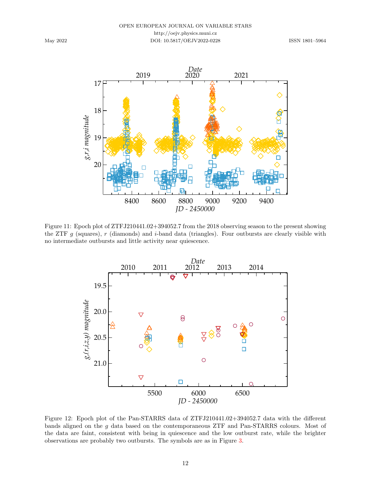

Figure 11: Epoch plot of ZTFJ210441.02+394052.7 from the 2018 observing season to the present showing the ZTF g (squares), r (diamonds) and i-band data (triangles). Four outbursts are clearly visible with no intermediate outbursts and little activity near quiescence.

<span id="page-11-0"></span>

<span id="page-11-1"></span>Figure 12: Epoch plot of the Pan-STARRS data of ZTFJ210441.02+394052.7 data with the different bands aligned on the g data based on the contemporaneous ZTF and Pan-STARRS colours. Most of the data are faint, consistent with being in quiescence and the low outburst rate, while the brighter observations are probably two outbursts. The symbols are as in Figure [3.](#page-4-1)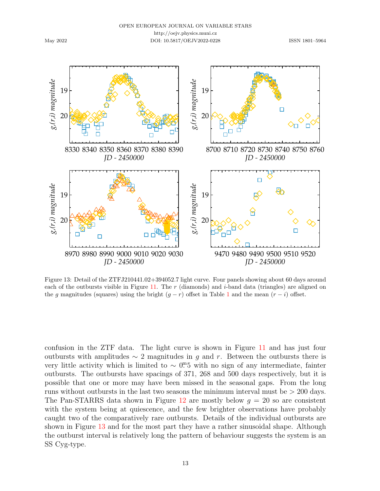

<span id="page-12-0"></span>Figure 13: Detail of the ZTFJ210441.02+394052.7 light curve. Four panels showing about 60 days around each of the outbursts visible in Figure [11.](#page-11-0) The  $r$  (diamonds) and *i*-band data (triangles) are aligned on the g magnitudes (squares) using the bright  $(g - r)$  offset in Table [1](#page-2-0) and the mean  $(r - i)$  offset.

confusion in the ZTF data. The light curve is shown in Figure [11](#page-11-0) and has just four outbursts with amplitudes  $\sim 2$  magnitudes in g and r. Between the outbursts there is very little activity which is limited to  $\sim 0^{m}5$  with no sign of any intermediate, fainter outbursts. The outbursts have spacings of 371, 268 and 500 days respectively, but it is possible that one or more may have been missed in the seasonal gaps. From the long runs without outbursts in the last two seasons the minimum interval must be  $> 200$  days. The Pan-STARRS data shown in Figure [12](#page-11-1) are mostly below  $g = 20$  so are consistent with the system being at quiescence, and the few brighter observations have probably caught two of the comparatively rare outbursts. Details of the individual outbursts are shown in Figure [13](#page-12-0) and for the most part they have a rather sinusoidal shape. Although the outburst interval is relatively long the pattern of behaviour suggests the system is an SS Cyg-type.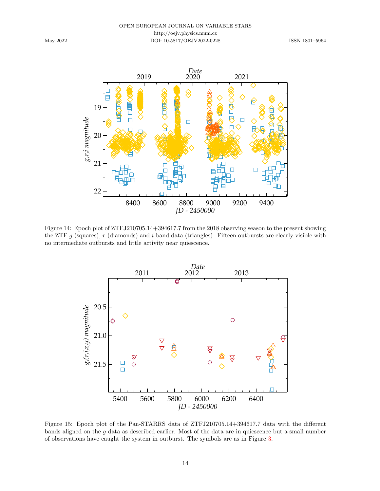

<span id="page-13-0"></span>Figure 14: Epoch plot of ZTFJ210705.14+394617.7 from the 2018 observing season to the present showing the ZTF g (squares),  $r$  (diamonds) and i-band data (triangles). Fifteen outbursts are clearly visible with no intermediate outbursts and little activity near quiescence.



<span id="page-13-1"></span>Figure 15: Epoch plot of the Pan-STARRS data of ZTFJ210705.14+394617.7 data with the different bands aligned on the g data as described earlier. Most of the data are in quiescence but a small number of observations have caught the system in outburst. The symbols are as in Figure [3.](#page-4-1)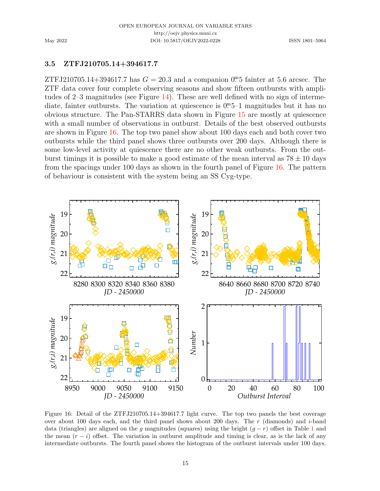### 3.5 ZTFJ210705.14+394617.7

ZTFJ210705.14+394617.7 has  $G = 20.3$  and a companion 0<sup>m</sup><sub>5</sub> fainter at 5.6 arcsec. The ZTF data cover four complete observing seasons and show fifteen outbursts with amplitudes of  $2-3$  magnitudes (see Figure [14\)](#page-13-0). These are well defined with no sign of intermediate, fainter outbursts. The variation at quiescence is  $0<sup>m</sup>5-1$  magnitudes but it has no obvious structure. The Pan-STARRS data shown in Figure [15](#page-13-1) are mostly at quiescence with a small number of observations in outburst. Details of the best observed outbursts are shown in Figure [16.](#page-14-0) The top two panel show about 100 days each and both cover two outbursts while the third panel shows three outbursts over 200 days. Although there is some low-level activity at quiescence there are no other weak outbursts. From the outburst timings it is possible to make a good estimate of the mean interval as  $78 \pm 10$  days from the spacings under 100 days as shown in the fourth panel of Figure [16.](#page-14-0) The pattern of behaviour is consistent with the system being an SS Cyg-type.



<span id="page-14-0"></span>Figure 16: Detail of the ZTFJ210705.14+394617.7 light curve. The top two panels the best coverage over about 100 days each, and the third panel shows about 200 days. The  $r$  (diamonds) and  $i$ -band data (triangles) are aligned on the g magnitudes (squares) using the bright  $(g - r)$  offset in Table [1](#page-2-0) and the mean  $(r - i)$  offset. The variation in outburst amplitude and timing is clear, as is the lack of any intermediate outbursts. The fourth panel shows the histogram of the outburst intervals under 100 days.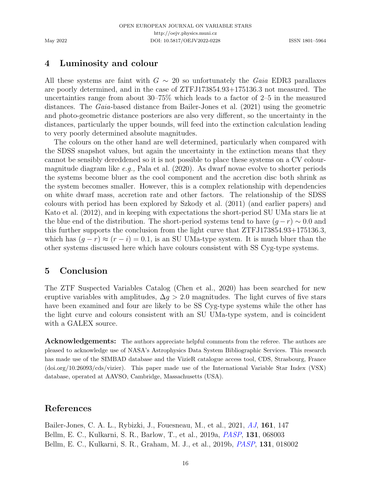# 4 Luminosity and colour

All these systems are faint with  $G \sim 20$  so unfortunately the Gaia EDR3 parallaxes are poorly determined, and in the case of ZTFJ173854.93+175136.3 not measured. The uncertainties range from about 30–75% which leads to a factor of 2–5 in the measured distances. The Gaia-based distance from [Bailer-Jones et al.](#page-15-2) [\(2021\)](#page-15-2) using the geometric and photo-geometric distance posteriors are also very different, so the uncertainty in the distances, particularly the upper bounds, will feed into the extinction calculation leading to very poorly determined absolute magnitudes.

The colours on the other hand are well determined, particularly when compared with the SDSS snapshot values, but again the uncertainty in the extinction means that they cannot be sensibly dereddened so it is not possible to place these systems on a CV colourmagnitude diagram like e.g., [Pala et al.](#page-16-13) [\(2020\)](#page-16-13). As dwarf novae evolve to shorter periods the systems become bluer as the cool component and the accretion disc both shrink as the system becomes smaller. However, this is a complex relationship with dependencies on white dwarf mass, accretion rate and other factors. The relationship of the SDSS colours with period has been explored by [Szkody et al.](#page-16-14) [\(2011\)](#page-16-14) (and earlier papers) and [Kato et al.](#page-16-0) [\(2012\)](#page-16-0), and in keeping with expectations the short-period SU UMa stars lie at the blue end of the distribution. The short-period systems tend to have  $(g - r) \sim 0.0$  and this further supports the conclusion from the light curve that ZTFJ173854.93+175136.3, which has  $(g - r) \approx (r - i) = 0.1$ , is an SU UMa-type system. It is much bluer than the other systems discussed here which have colours consistent with SS Cyg-type systems.

## 5 Conclusion

The ZTF Suspected Variables Catalog [\(Chen et al.,](#page-16-9) [2020\)](#page-16-9) has been searched for new eruptive variables with amplitudes,  $\Delta q > 2.0$  magnitudes. The light curves of five stars have been examined and four are likely to be SS Cyg-type systems while the other has the light curve and colours consistent with an SU UMa-type system, and is coincident with a GALEX source.

Acknowledgements: The authors appreciate helpful comments from the referee. The authors are pleased to acknowledge use of NASA's Astrophysics Data System Bibliographic Services. This research has made use of the SIMBAD database and the VizieR catalogue access tool, CDS, Strasbourg, France (doi.org/10.26093/cds/vizier). This paper made use of the International Variable Star Index (VSX) database, operated at AAVSO, Cambridge, Massachusetts (USA).

# References

<span id="page-15-2"></span><span id="page-15-1"></span><span id="page-15-0"></span>Bailer-Jones, C. A. L., Rybizki, J., Fouesneau, M., et al., 2021, [AJ](https://ui.adsabs.harvard.edu/abs/2021AJ....161..147B), 161, 147 Bellm, E. C., Kulkarni, S. R., Barlow, T., et al., 2019a, [PASP](https://ui.adsabs.harvard.edu/abs/2019PASP..131f8003B), 131, 068003 Bellm, E. C., Kulkarni, S. R., Graham, M. J., et al., 2019b, [PASP](https://ui.adsabs.harvard.edu/abs/2019PASP..131a8002B), 131, 018002